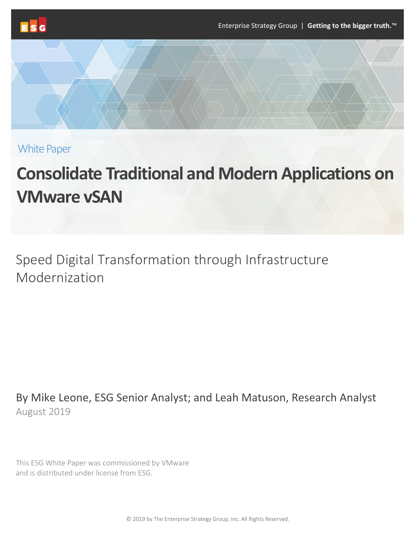

White Paper

# **Consolidate Traditional and Modern Applications on VMware vSAN**

Speed Digital Transformation through Infrastructure Modernization

By Mike Leone, ESG Senior Analyst; and Leah Matuson, Research Analyst August 2019

This ESG White Paper was commissioned by VMware and is distributed under license from ESG.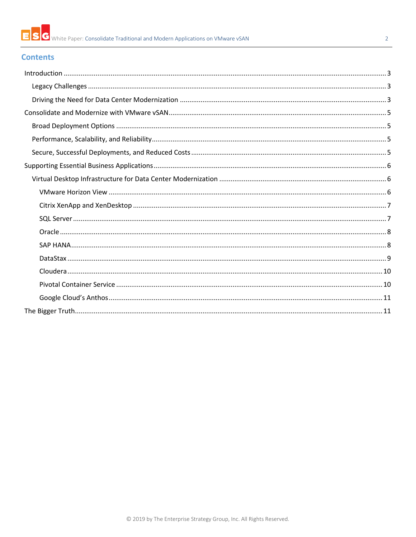#### $\overline{2}$

# **Contents**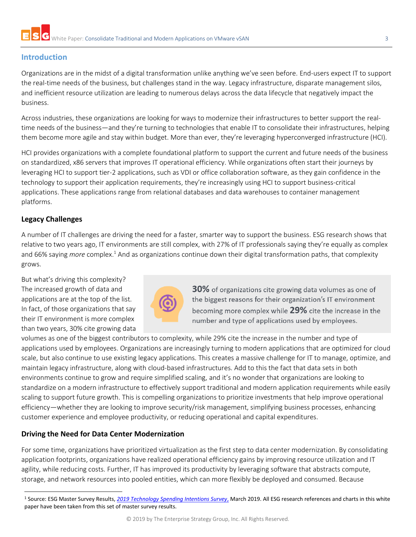# <span id="page-2-0"></span>**Introduction**

Organizations are in the midst of a digital transformation unlike anything we've seen before. End-users expect IT to support the real-time needs of the business, but challenges stand in the way. Legacy infrastructure, disparate management silos, and inefficient resource utilization are leading to numerous delays across the data lifecycle that negatively impact the business.

Across industries, these organizations are looking for ways to modernize their infrastructures to better support the realtime needs of the business—and they're turning to technologies that enable IT to consolidate their infrastructures, helping them become more agile and stay within budget. More than ever, they're leveraging hyperconverged infrastructure (HCI).

HCI provides organizations with a complete foundational platform to support the current and future needs of the business on standardized, x86 servers that improves IT operational efficiency. While organizations often start their journeys by leveraging HCI to support tier-2 applications, such as VDI or office collaboration software, as they gain confidence in the technology to support their application requirements, they're increasingly using HCI to support business-critical applications. These applications range from relational databases and data warehouses to container management platforms.

## <span id="page-2-1"></span>**Legacy Challenges**

 $\overline{\phantom{a}}$ 

A number of IT challenges are driving the need for a faster, smarter way to support the business. ESG research shows that relative to two years ago, IT environments are still complex, with 27% of IT professionals saying they're equally as complex and 66% saying *more* complex.<sup>1</sup> And as organizations continue down their digital transformation paths, that complexity grows.

But what's driving this complexity? The increased growth of data and applications are at the top of the list. In fact, of those organizations that say their IT environment is more complex than two years, 30% cite growing data



30% of organizations cite growing data volumes as one of the biggest reasons for their organization's IT environment becoming more complex while 29% cite the increase in the number and type of applications used by employees.

volumes as one of the biggest contributors to complexity, while 29% cite the increase in the number and type of applications used by employees. Organizations are increasingly turning to modern applications that are optimized for cloud scale, but also continue to use existing legacy applications. This creates a massive challenge for IT to manage, optimize, and maintain legacy infrastructure, along with cloud-based infrastructures. Add to this the fact that data sets in both environments continue to grow and require simplified scaling, and it's no wonder that organizations are looking to standardize on a modern infrastructure to effectively support traditional and modern application requirements while easily scaling to support future growth. This is compelling organizations to prioritize investments that help improve operational efficiency—whether they are looking to improve security/risk management, simplifying business processes, enhancing customer experience and employee productivity, or reducing operational and capital expenditures.

## <span id="page-2-2"></span>**Driving the Need for Data Center Modernization**

For some time, organizations have prioritized virtualization as the first step to data center modernization. By consolidating application footprints, organizations have realized operational efficiency gains by improving resource utilization and IT agility, while reducing costs. Further, IT has improved its productivity by leveraging software that abstracts compute, storage, and network resources into pooled entities, which can more flexibly be deployed and consumed. Because

<sup>1</sup> Source: ESG Master Survey Results, *[2019 Technology Spending Intentions Survey](https://www.esg-global.com/research/esg-master-survey-results-2019-technology-spending-intentions-survey)*, March 2019. All ESG research references and charts in this white paper have been taken from this set of master survey results.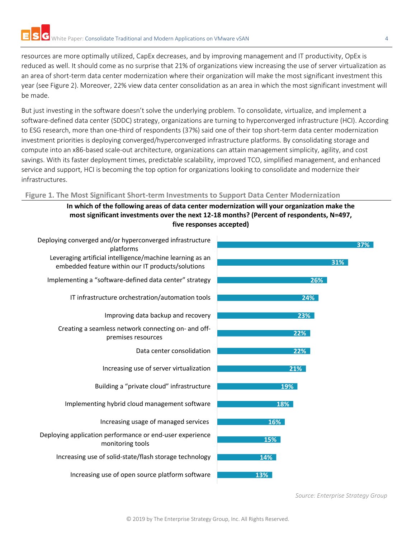resources are more optimally utilized, CapEx decreases, and by improving management and IT productivity, OpEx is reduced as well. It should come as no surprise that 21% of organizations view increasing the use of server virtualization as an area of short-term data center modernization where their organization will make the most significant investment this year (see Figure 2). Moreover, 22% view data center consolidation as an area in which the most significant investment will be made.

But just investing in the software doesn't solve the underlying problem. To consolidate, virtualize, and implement a software-defined data center (SDDC) strategy, organizations are turning to hyperconverged infrastructure (HCI). According to ESG research, more than one-third of respondents (37%) said one of their top short-term data center modernization investment priorities is deploying converged/hyperconverged infrastructure platforms. By consolidating storage and compute into an x86-based scale-out architecture, organizations can attain management simplicity, agility, and cost savings. With its faster deployment times, predictable scalability, improved TCO, simplified management, and enhanced service and support, HCI is becoming the top option for organizations looking to consolidate and modernize their infrastructures.

## **Figure 1. The Most Significant Short-term Investments to Support Data Center Modernization**

**In which of the following areas of data center modernization will your organization make the most significant investments over the next 12-18 months? (Percent of respondents, N=497, five responses accepted)**



*Source: Enterprise Strategy Group*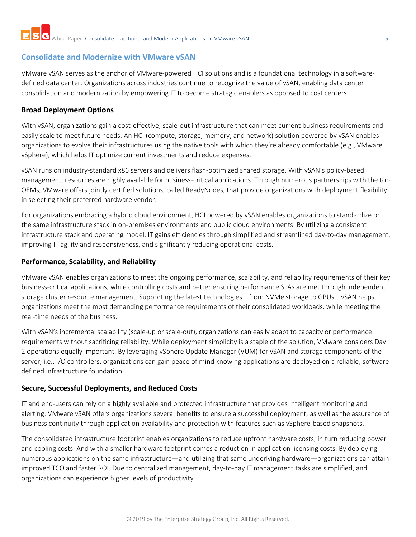# <span id="page-4-0"></span>**Consolidate and Modernize with VMware vSAN**

VMware vSAN serves as the anchor of VMware-powered HCI solutions and is a foundational technology in a softwaredefined data center. Organizations across industries continue to recognize the value of vSAN, enabling data center consolidation and modernization by empowering IT to become strategic enablers as opposed to cost centers.

## <span id="page-4-1"></span>**Broad Deployment Options**

With vSAN, organizations gain a cost-effective, scale-out infrastructure that can meet current business requirements and easily scale to meet future needs. An HCI (compute, storage, memory, and network) solution powered by vSAN enables organizations to evolve their infrastructures using the native tools with which they're already comfortable (e.g., VMware vSphere), which helps IT optimize current investments and reduce expenses.

vSAN runs on industry-standard x86 servers and delivers flash-optimized shared storage. With vSAN's policy-based management, resources are highly available for business-critical applications. Through numerous partnerships with the top OEMs, VMware offers jointly certified solutions, called ReadyNodes, that provide organizations with deployment flexibility in selecting their preferred hardware vendor.

For organizations embracing a hybrid cloud environment, HCI powered by vSAN enables organizations to standardize on the same infrastructure stack in on-premises environments and public cloud environments. By utilizing a consistent infrastructure stack and operating model, IT gains efficiencies through simplified and streamlined day-to-day management, improving IT agility and responsiveness, and significantly reducing operational costs.

## <span id="page-4-2"></span>**Performance, Scalability, and Reliability**

VMware vSAN enables organizations to meet the ongoing performance, scalability, and reliability requirements of their key business-critical applications, while controlling costs and better ensuring performance SLAs are met through independent storage cluster resource management. Supporting the latest technologies—from NVMe storage to GPUs—vSAN helps organizations meet the most demanding performance requirements of their consolidated workloads, while meeting the real-time needs of the business.

With vSAN's incremental scalability (scale-up or scale-out), organizations can easily adapt to capacity or performance requirements without sacrificing reliability. While deployment simplicity is a staple of the solution, VMware considers Day 2 operations equally important. By leveraging vSphere Update Manager (VUM) for vSAN and storage components of the server, i.e., I/O controllers, organizations can gain peace of mind knowing applications are deployed on a reliable, softwaredefined infrastructure foundation.

## <span id="page-4-3"></span>**Secure, Successful Deployments, and Reduced Costs**

IT and end-users can rely on a highly available and protected infrastructure that provides intelligent monitoring and alerting. VMware vSAN offers organizations several benefits to ensure a successful deployment, as well as the assurance of business continuity through application availability and protection with features such as vSphere-based snapshots.

The consolidated infrastructure footprint enables organizations to reduce upfront hardware costs, in turn reducing power and cooling costs. And with a smaller hardware footprint comes a reduction in application licensing costs. By deploying numerous applications on the same infrastructure—and utilizing that same underlying hardware—organizations can attain improved TCO and faster ROI. Due to centralized management, day-to-day IT management tasks are simplified, and organizations can experience higher levels of productivity.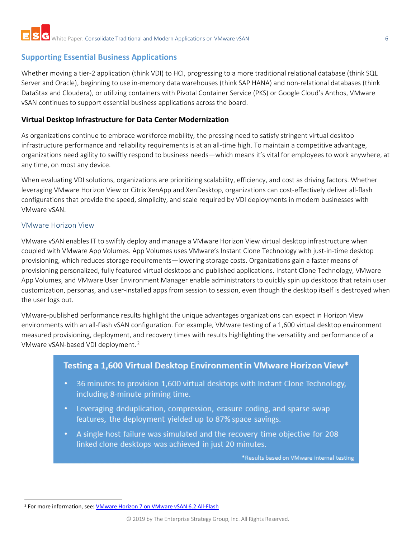# <span id="page-5-0"></span>**Supporting Essential Business Applications**

Whether moving a tier-2 application (think VDI) to HCI, progressing to a more traditional relational database (think SQL Server and Oracle), beginning to use in-memory data warehouses (think SAP HANA) and non-relational databases (think DataStax and Cloudera), or utilizing containers with Pivotal Container Service (PKS) or Google Cloud's Anthos, VMware vSAN continues to support essential business applications across the board.

## <span id="page-5-1"></span>**Virtual Desktop Infrastructure for Data Center Modernization**

As organizations continue to embrace workforce mobility, the pressing need to satisfy stringent virtual desktop infrastructure performance and reliability requirements is at an all-time high. To maintain a competitive advantage, organizations need agility to swiftly respond to business needs—which means it's vital for employees to work anywhere, at any time, on most any device.

When evaluating VDI solutions, organizations are prioritizing scalability, efficiency, and cost as driving factors. Whether leveraging VMware Horizon View or Citrix XenApp and XenDesktop, organizations can cost-effectively deliver all-flash configurations that provide the speed, simplicity, and scale required by VDI deployments in modern businesses with VMware vSAN.

## <span id="page-5-2"></span>VMware Horizon View

VMware vSAN enables IT to swiftly deploy and manage a VMware Horizon View virtual desktop infrastructure when coupled with VMware App Volumes. App Volumes uses VMware's Instant Clone Technology with just-in-time desktop provisioning, which reduces storage requirements—lowering storage costs. Organizations gain a faster means of provisioning personalized, fully featured virtual desktops and published applications. Instant Clone Technology, VMware App Volumes, and VMware User Environment Manager enable administrators to quickly spin up desktops that retain user customization, personas, and user-installed apps from session to session, even though the desktop itself is destroyed when the user logs out.

VMware-published performance results highlight the unique advantages organizations can expect in Horizon View environments with an all-flash vSAN configuration. For example, VMware testing of a 1,600 virtual desktop environment measured provisioning, deployment, and recovery times with results highlighting the versatility and performance of a VMware vSAN-based VDI deployment.<sup>2</sup>

# Testing a 1,600 Virtual Desktop Environment in VMware Horizon View\*

- 36 minutes to provision 1,600 virtual desktops with Instant Clone Technology, including 8-minute priming time.
- Leveraging deduplication, compression, erasure coding, and sparse swap features, the deployment yielded up to 87% space savings.
- A single-host failure was simulated and the recovery time objective for 208 linked clone desktops was achieved in just 20 minutes.

\*Results based on VMware internal testing

 $\overline{\phantom{a}}$ <sup>2</sup> For more information, see: [VMware Horizon 7 on VMware vSAN 6.2 All-Flash](https://storagehub.vmware.com/t/vmware-vsan/vmware-horizon-7-on-vmware-virtual-san-6-2-all-flash/)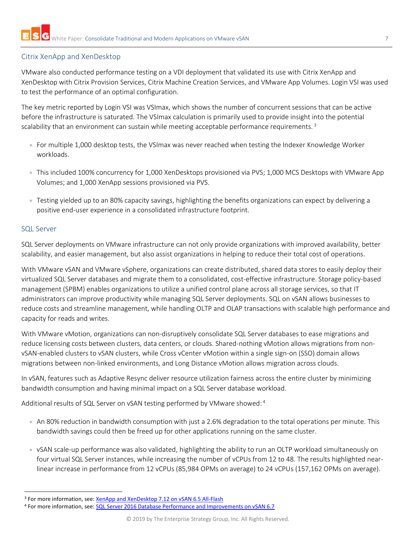## <span id="page-6-0"></span>Citrix XenApp and XenDesktop

VMware also conducted performance testing on a VDI deployment that validated its use with Citrix XenApp and XenDesktop with Citrix Provision Services, Citrix Machine Creation Services, and VMware App Volumes. Login VSI was used to test the performance of an optimal configuration.

The key metric reported by Login VSI was VSImax, which shows the number of concurrent sessions that can be active before the infrastructure is saturated. The VSImax calculation is primarily used to provide insight into the potential scalability that an environment can sustain while meeting acceptable performance requirements.<sup>3</sup>

- For multiple 1,000 desktop tests, the VSImax was never reached when testing the Indexer Knowledge Worker workloads.
- This included 100% concurrency for 1,000 XenDesktops provisioned via PVS; 1,000 MCS Desktops with VMware App Volumes; and 1,000 XenApp sessions provisioned via PVS.
- Testing yielded up to an 80% capacity savings, highlighting the benefits organizations can expect by delivering a positive end-user experience in a consolidated infrastructure footprint.

#### <span id="page-6-1"></span>SQL Server

 $\overline{\phantom{a}}$ 

SQL Server deployments on VMware infrastructure can not only provide organizations with improved availability, better scalability, and easier management, but also assist organizations in helping to reduce their total cost of operations.

With VMware vSAN and VMware vSphere, organizations can create distributed, shared data stores to easily deploy their virtualized SQL Server databases and migrate them to a consolidated, cost-effective infrastructure. Storage policy-based management (SPBM) enables organizations to utilize a unified control plane across all storage services, so that IT administrators can improve productivity while managing SQL Server deployments. SQL on vSAN allows businesses to reduce costs and streamline management, while handling OLTP and OLAP transactions with scalable high performance and capacity for reads and writes.

With VMware vMotion, organizations can non-disruptively consolidate SQL Server databases to ease migrations and reduce licensing costs between clusters, data centers, or clouds. Shared-nothing vMotion allows migrations from nonvSAN-enabled clusters to vSAN clusters, while Cross vCenter vMotion within a single sign-on (SSO) domain allows migrations between non-linked environments, and Long Distance vMotion allows migration across clouds.

In vSAN, features such as Adaptive Resync deliver resource utilization fairness across the entire cluster by minimizing bandwidth consumption and having minimal impact on a SQL Server database workload.

Additional results of SQL Server on vSAN testing performed by VMware showed: 4

- An 80% reduction in bandwidth consumption with just a 2.6% degradation to the total operations per minute. This bandwidth savings could then be freed up for other applications running on the same cluster.
- vSAN scale-up performance was also validated, highlighting the ability to run an OLTP workload simultaneously on four virtual SQL Server instances, while increasing the number of vCPUs from 12 to 48. The results highlighted nearlinear increase in performance from 12 vCPUs (85,984 OPMs on average) to 24 vCPUs (157,162 OPMs on average).

<sup>&</sup>lt;sup>3</sup> For more information, see: *[XenApp and XenDesktop 7.12 on vSAN 6.5 All-Flash](https://storagehub.vmware.com/t/vmware-vsan/xenapp-and-xendesktop-7-12-on-vsan-6-5-all-flash/)* 

<sup>4</sup> For more information, see: [SQL Server 2016 Database Performance and Improvements on vSAN 6.7](https://storagehub.vmware.com/t/vmware-vsan/sql-server-2016-database-performance-and-improvements-on-vsan-6-7-tm/)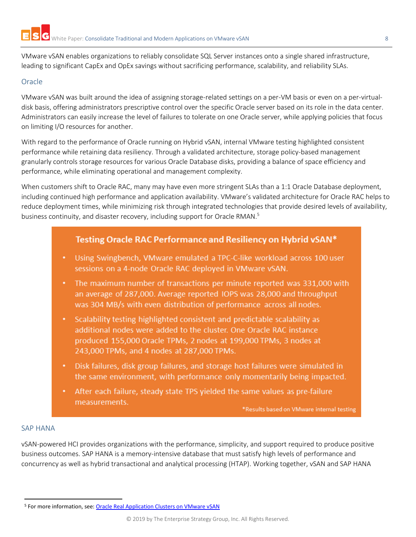VMware vSAN enables organizations to reliably consolidate SQL Server instances onto a single shared infrastructure, leading to significant CapEx and OpEx savings without sacrificing performance, scalability, and reliability SLAs.

## <span id="page-7-0"></span>Oracle

VMware vSAN was built around the idea of assigning storage-related settings on a per-VM basis or even on a per-virtualdisk basis, offering administrators prescriptive control over the specific Oracle server based on its role in the data center. Administrators can easily increase the level of failures to tolerate on one Oracle server, while applying policies that focus on limiting I/O resources for another.

With regard to the performance of Oracle running on Hybrid vSAN, internal VMware testing highlighted consistent performance while retaining data resiliency. Through a validated architecture, storage policy-based management granularly controls storage resources for various Oracle Database disks, providing a balance of space efficiency and performance, while eliminating operational and management complexity.

When customers shift to Oracle RAC, many may have even more stringent SLAs than a 1:1 Oracle Database deployment, including continued high performance and application availability. VMware's validated architecture for Oracle RAC helps to reduce deployment times, while minimizing risk through integrated technologies that provide desired levels of availability, business continuity, and disaster recovery, including support for Oracle RMAN.<sup>5</sup>

# Testing Oracle RAC Performance and Resiliency on Hybrid vSAN\*

- Using Swingbench, VMware emulated a TPC-C-like workload across 100 user sessions on a 4-node Oracle RAC deployed in VMware vSAN.
- The maximum number of transactions per minute reported was 331,000 with an average of 287,000. Average reported IOPS was 28,000 and throughput was 304 MB/s with even distribution of performance across all nodes.
- Scalability testing highlighted consistent and predictable scalability as additional nodes were added to the cluster. One Oracle RAC instance produced 155,000 Oracle TPMs, 2 nodes at 199,000 TPMs, 3 nodes at 243,000 TPMs, and 4 nodes at 287,000 TPMs.
- Disk failures, disk group failures, and storage host failures were simulated in the same environment, with performance only momentarily being impacted.
- After each failure, steady state TPS yielded the same values as pre-failure measurements.

\*Results based on VMware internal testing

#### <span id="page-7-1"></span>SAP HANA

 $\overline{\phantom{a}}$ 

vSAN-powered HCI provides organizations with the performance, simplicity, and support required to produce positive business outcomes. SAP HANA is a memory-intensive database that must satisfy high levels of performance and concurrency as well as hybrid transactional and analytical processing (HTAP). Working together, vSAN and SAP HANA

<sup>5</sup> For more information, see: [Oracle Real Application Clusters on VMware vSAN](https://storagehub.vmware.com/t/vmware-vsan/oracle-real-application-clusters-on-vmware-virtual-san/)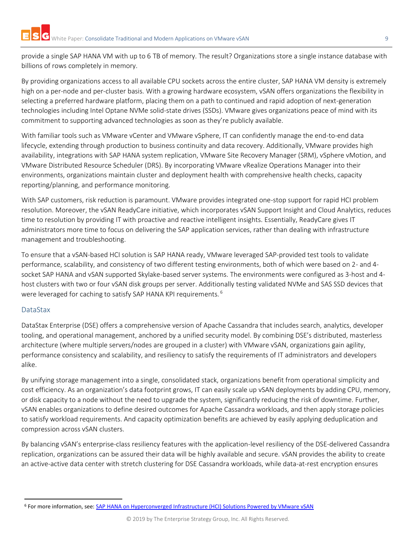provide a single SAP HANA VM with up to 6 TB of memory. The result? Organizations store a single instance database with billions of rows completely in memory.

By providing organizations access to all available CPU sockets across the entire cluster, SAP HANA VM density is extremely high on a per-node and per-cluster basis. With a growing hardware ecosystem, vSAN offers organizations the flexibility in selecting a preferred hardware platform, placing them on a path to continued and rapid adoption of next-generation technologies including Intel Optane NVMe solid-state drives (SSDs). VMware gives organizations peace of mind with its commitment to supporting advanced technologies as soon as they're publicly available.

With familiar tools such as VMware vCenter and VMware vSphere, IT can confidently manage the end-to-end data lifecycle, extending through production to business continuity and data recovery. Additionally, VMware provides high availability, integrations with SAP HANA system replication, VMware Site Recovery Manager (SRM), vSphere vMotion, and VMware Distributed Resource Scheduler (DRS). By incorporating VMware vRealize Operations Manager into their environments, organizations maintain cluster and deployment health with comprehensive health checks, capacity reporting/planning, and performance monitoring.

With SAP customers, risk reduction is paramount. VMware provides integrated one-stop support for rapid HCI problem resolution. Moreover, the vSAN ReadyCare initiative, which incorporates vSAN Support Insight and Cloud Analytics, reduces time to resolution by providing IT with proactive and reactive intelligent insights. Essentially, ReadyCare gives IT administrators more time to focus on delivering the SAP application services, rather than dealing with infrastructure management and troubleshooting.

To ensure that a vSAN-based HCI solution is SAP HANA ready, VMware leveraged SAP-provided test tools to validate performance, scalability, and consistency of two different testing environments, both of which were based on 2- and 4 socket SAP HANA and vSAN supported Skylake-based server systems. The environments were configured as 3-host and 4 host clusters with two or four vSAN disk groups per server. Additionally testing validated NVMe and SAS SSD devices that were leveraged for caching to satisfy SAP HANA KPI requirements. <sup>6</sup>

# <span id="page-8-0"></span>DataStax

 $\overline{\phantom{a}}$ 

DataStax Enterprise (DSE) offers a comprehensive version of Apache Cassandra that includes search, analytics, developer tooling, and operational management, anchored by a unified security model. By combining DSE's distributed, masterless architecture (where multiple servers/nodes are grouped in a cluster) with VMware vSAN, organizations gain agility, performance consistency and scalability, and resiliency to satisfy the requirements of IT administrators and developers alike.

By unifying storage management into a single, consolidated stack, organizations benefit from operational simplicity and cost efficiency. As an organization's data footprint grows, IT can easily scale up vSAN deployments by adding CPU, memory, or disk capacity to a node without the need to upgrade the system, significantly reducing the risk of downtime. Further, vSAN enables organizations to define desired outcomes for Apache Cassandra workloads, and then apply storage policies to satisfy workload requirements. And capacity optimization benefits are achieved by easily applying deduplication and compression across vSAN clusters.

By balancing vSAN's enterprise-class resiliency features with the application-level resiliency of the DSE-delivered Cassandra replication, organizations can be assured their data will be highly available and secure. vSAN provides the ability to create an active-active data center with stretch clustering for DSE Cassandra workloads, while data-at-rest encryption ensures

<sup>6</sup> For more information, see: [SAP HANA on Hyperconverged Infrastructure \(HCI\) Solutions Powered by VMware vSAN](https://storagehub.vmware.com/t/vmware-vsan/sap-hana-on-hyperconverged-infrastructure-hci-solutions-powered-by-vmware-vsan-tm/)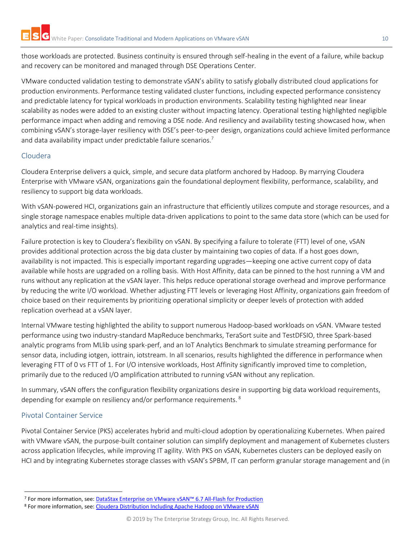those workloads are protected. Business continuity is ensured through self-healing in the event of a failure, while backup and recovery can be monitored and managed through DSE Operations Center.

VMware conducted validation testing to demonstrate vSAN's ability to satisfy globally distributed cloud applications for production environments. Performance testing validated cluster functions, including expected performance consistency and predictable latency for typical workloads in production environments. Scalability testing highlighted near linear scalability as nodes were added to an existing cluster without impacting latency. Operational testing highlighted negligible performance impact when adding and removing a DSE node. And resiliency and availability testing showcased how, when combining vSAN's storage-layer resiliency with DSE's peer-to-peer design, organizations could achieve limited performance and data availability impact under predictable failure scenarios.<sup>7</sup>

## <span id="page-9-0"></span>Cloudera

Cloudera Enterprise delivers a quick, simple, and secure data platform anchored by Hadoop. By marrying Cloudera Enterprise with VMware vSAN, organizations gain the foundational deployment flexibility, performance, scalability, and resiliency to support big data workloads.

With vSAN-powered HCI, organizations gain an infrastructure that efficiently utilizes compute and storage resources, and a single storage namespace enables multiple data-driven applications to point to the same data store (which can be used for analytics and real-time insights).

Failure protection is key to Cloudera's flexibility on vSAN. By specifying a failure to tolerate (FTT) level of one, vSAN provides additional protection across the big data cluster by maintaining two copies of data. If a host goes down, availability is not impacted. This is especially important regarding upgrades—keeping one active current copy of data available while hosts are upgraded on a rolling basis. With Host Affinity, data can be pinned to the host running a VM and runs without any replication at the vSAN layer. This helps reduce operational storage overhead and improve performance by reducing the write I/O workload. Whether adjusting FTT levels or leveraging Host Affinity, organizations gain freedom of choice based on their requirements by prioritizing operational simplicity or deeper levels of protection with added replication overhead at a vSAN layer.

Internal VMware testing highlighted the ability to support numerous Hadoop-based workloads on vSAN. VMware tested performance using two industry-standard MapReduce benchmarks, TeraSort suite and TestDFSIO, three Spark-based analytic programs from MLlib using spark-perf, and an IoT Analytics Benchmark to simulate streaming performance for sensor data, including iotgen, iottrain, iotstream. In all scenarios, results highlighted the difference in performance when leveraging FTT of 0 vs FTT of 1. For I/O intensive workloads, Host Affinity significantly improved time to completion, primarily due to the reduced I/O amplification attributed to running vSAN without any replication.

In summary, vSAN offers the configuration flexibility organizations desire in supporting big data workload requirements, depending for example on resiliency and/or performance requirements. <sup>8</sup>

# <span id="page-9-1"></span>Pivotal Container Service

 $\overline{\phantom{a}}$ 

Pivotal Container Service (PKS) accelerates hybrid and multi-cloud adoption by operationalizing Kubernetes. When paired with VMware vSAN, the purpose-built container solution can simplify deployment and management of Kubernetes clusters across application lifecycles, while improving IT agility. With PKS on vSAN, Kubernetes clusters can be deployed easily on HCI and by integrating Kubernetes storage classes with vSAN's SPBM, IT can perform granular storage management and (in

<sup>7</sup> For more information, see: [DataStax Enterprise on VMware vSAN™ 6.7 All](https://storagehub.vmware.com/t/vmware-vsan/datastax-enterprise-on-vmware-vsan-tm-6-7-all-flash-for-production/)-Flash for Production

<sup>8</sup> For more information, see: Cloudera [Distribution Including Apache Hadoop on VMware vSAN](https://storagehub.vmware.com/t/vmware-vsan/cloudera-distribution-including-apache-hadoop-on-vmware-vsan-tm/)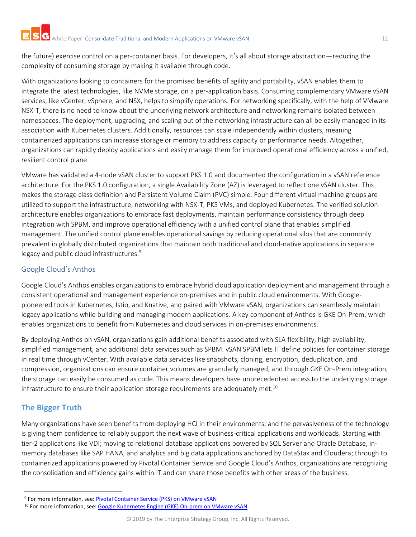the future) exercise control on a per-container basis. For developers, it's all about storage abstraction—reducing the complexity of consuming storage by making it available through code.

With organizations looking to containers for the promised benefits of agility and portability, vSAN enables them to integrate the latest technologies, like NVMe storage, on a per-application basis. Consuming complementary VMware vSAN services, like vCenter, vSphere, and NSX, helps to simplify operations. For networking specifically, with the help of VMware NSX-T, there is no need to know about the underlying network architecture and networking remains isolated between namespaces. The deployment, upgrading, and scaling out of the networking infrastructure can all be easily managed in its association with Kubernetes clusters. Additionally, resources can scale independently within clusters, meaning containerized applications can increase storage or memory to address capacity or performance needs. Altogether, organizations can rapidly deploy applications and easily manage them for improved operational efficiency across a unified, resilient control plane.

VMware has validated a 4-node vSAN cluster to support PKS 1.0 and documented the configuration in a vSAN reference architecture. For the PKS 1.0 configuration, a single Availability Zone (AZ) is leveraged to reflect one vSAN cluster. This makes the storage class definition and Persistent Volume Claim (PVC) simple. Four different virtual machine groups are utilized to support the infrastructure, networking with NSX-T, PKS VMs, and deployed Kubernetes. The verified solution architecture enables organizations to embrace fast deployments, maintain performance consistency through deep integration with SPBM, and improve operational efficiency with a unified control plane that enables simplified management. The unified control plane enables operational savings by reducing operational silos that are commonly prevalent in globally distributed organizations that maintain both traditional and cloud-native applications in separate legacy and public cloud infrastructures.<sup>9</sup>

## <span id="page-10-0"></span>Google Cloud's Anthos

Google Cloud's Anthos enables organizations to embrace hybrid cloud application deployment and management through a consistent operational and management experience on-premises and in public cloud environments. With Googlepioneered tools in Kubernetes, Istio, and Knative, and paired with VMware vSAN, organizations can seamlessly maintain legacy applications while building and managing modern applications. A key component of Anthos is GKE On-Prem, which enables organizations to benefit from Kubernetes and cloud services in on-premises environments.

By deploying Anthos on vSAN, organizations gain additional benefits associated with SLA flexibility, high availability, simplified management, and additional data services such as SPBM. vSAN SPBM lets IT define policies for container storage in real time through vCenter. With available data services like snapshots, cloning, encryption, deduplication, and compression, organizations can ensure container volumes are granularly managed, and through GKE On-Prem integration, the storage can easily be consumed as code. This means developers have unprecedented access to the underlying storage infrastructure to ensure their application storage requirements are adequately met.<sup>10</sup>

# <span id="page-10-1"></span>**The Bigger Truth**

 $\overline{\phantom{a}}$ 

Many organizations have seen benefits from deploying HCI in their environments, and the pervasiveness of the technology is giving them confidence to reliably support the next wave of business-critical applications and workloads. Starting with tier-2 applications like VDI; moving to relational database applications powered by SQL Server and Oracle Database, inmemory databases like SAP HANA, and analytics and big data applications anchored by DataStax and Cloudera; through to containerized applications powered by Pivotal Container Service and Google Cloud's Anthos, organizations are recognizing the consolidation and efficiency gains within IT and can share those benefits with other areas of the business.

<sup>&</sup>lt;sup>9</sup> For more information, see: **[Pivotal Container Service \(PKS\) on VMware vSAN](https://www.vmware.com/content/dam/digitalmarketing/vmware/en/pdf/products/vsan/vmw-pivotal-container-service-on-vmware-vsan-solution-overview.pdf)** 

<sup>10</sup> For more information, see: [Google Kubernetes Engine \(GKE\) On-prem on VMware vSAN](https://www.vmware.com/content/dam/digitalmarketing/vmware/en/pdf/products/vsan/vmw-google-anthos-vsan-solution-overview.pdf)